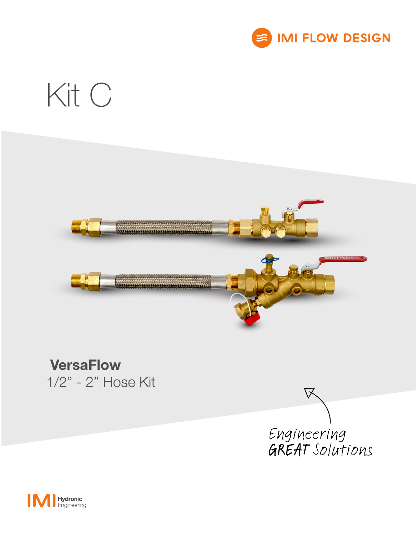

## Kit C

# <u> 1999 - Jan Albert Hallmann, franch f</u>

### **VersaFlow** 1/2" - 2" Hose Kit



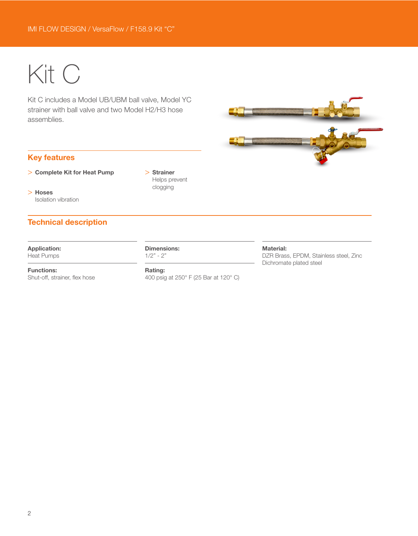## Kit C

Kit C includes a Model UB/UBM ball valve, Model YC strainer with ball valve and two Model H2/H3 hose assemblies.

#### Key features

- > Complete Kit for Heat Pump
- > Hoses Isolation vibration

> Strainer Helps prevent clogging

#### Technical description

#### Application: Heat Pumps

Functions:

Shut-off, strainer, flex hose

Dimensions:  $1/2" - 2"$ 

Rating: 400 psig at 250° F (25 Bar at 120° C)

#### Material:

DZR Brass, EPDM, Stainless steel, Zinc Dichromate plated steel

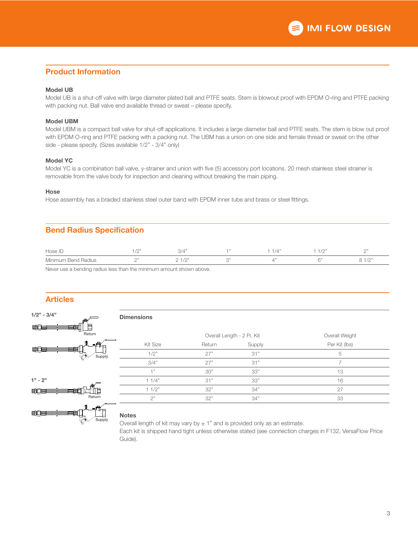#### Product Information

#### Model UB

Model UB is a shut-off valve with large diameter plated ball and PTFE seats. Stem is blowout proof with EPDM O-ring and PTFE packing with packing nut. Ball valve end available thread or sweat – please specify.

#### Model UBM

Model UBM is a compact ball valve for shut-off applications. It includes a large diameter ball and PTFE seats. The stem is blow out proof with EPDM O-ring and PTFE packing with a packing nut. The UBM has a union on one side and female thread or sweat on the other side - please specify. (Sizes available 1/2" - 3/4" only)

#### Model YC

Model YC is a combination ball valve, y-strainer and union with five (5) accessory port locations. 20 mesh stainless steel strainer is removable from the valve body for inspection and cleaning without breaking the main piping.

#### Hose

Hose assembly has a braided stainless steel outer band with EPDM inner tube and brass or steel fittings.

#### Bend Radius Specification

| Hose ID             | $1^\circ$<br>the contract of the contract of |                                      |  | $1^\circ$<br>$\sqrt{2}$<br>the contract of the contract of | $\bigcap$  |
|---------------------|----------------------------------------------|--------------------------------------|--|------------------------------------------------------------|------------|
| Minimum Bend Radius | ገ"                                           | $1 \cap 2$<br>$\sqrt{2}$<br><u>_</u> |  |                                                            | $\sqrt{2}$ |

Never use a bending radius less than the minimum amount shown above.

#### Articles

 $1/2" - 3/4"$ 

#### Dimensions









|                 | Overall Length - 2 Ft. Kit |        | Overall Weight |  |
|-----------------|----------------------------|--------|----------------|--|
| <b>Kit Size</b> | Return                     | Supply | Per Kit (lbs)  |  |
| 1/2"            | 27"                        | 31"    | 5              |  |
| 3/4"            | 27"                        | 31"    |                |  |
| $+$ "           | 30"                        | 33"    | 13             |  |
| 11/4"           | 31"                        | 33"    | 16             |  |
| 11/2"           | 32"                        | 34"    | 27             |  |
| つ"              | 32"                        | 34"    | 33             |  |
|                 |                            |        |                |  |

#### **Notes**

Overall length of kit may vary by  $\pm 1$ " and is provided only as an estimate. Each kit is shipped hand tight unless otherwise stated (see connection charges in F132, VersaFlow Price Guide).